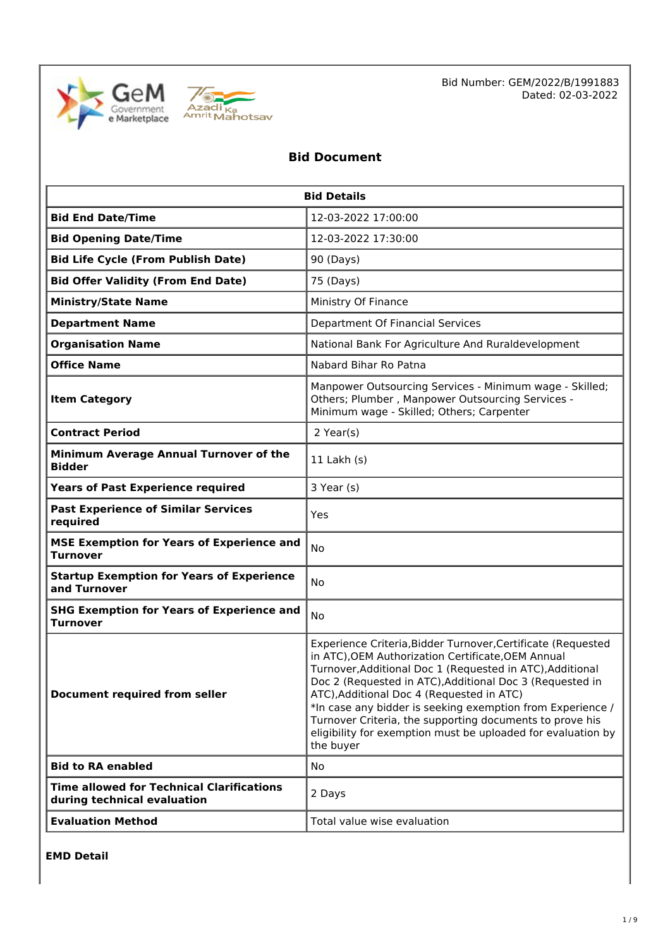



Bid Number: GEM/2022/B/1991883 Dated: 02-03-2022

## **Bid Document**

| <b>Bid Details</b>                                                              |                                                                                                                                                                                                                                                                                                                                                                                                                                                                                                 |  |  |
|---------------------------------------------------------------------------------|-------------------------------------------------------------------------------------------------------------------------------------------------------------------------------------------------------------------------------------------------------------------------------------------------------------------------------------------------------------------------------------------------------------------------------------------------------------------------------------------------|--|--|
| <b>Bid End Date/Time</b>                                                        | 12-03-2022 17:00:00                                                                                                                                                                                                                                                                                                                                                                                                                                                                             |  |  |
| <b>Bid Opening Date/Time</b>                                                    | 12-03-2022 17:30:00                                                                                                                                                                                                                                                                                                                                                                                                                                                                             |  |  |
| <b>Bid Life Cycle (From Publish Date)</b>                                       | 90 (Days)                                                                                                                                                                                                                                                                                                                                                                                                                                                                                       |  |  |
| <b>Bid Offer Validity (From End Date)</b>                                       | 75 (Days)                                                                                                                                                                                                                                                                                                                                                                                                                                                                                       |  |  |
| <b>Ministry/State Name</b>                                                      | Ministry Of Finance                                                                                                                                                                                                                                                                                                                                                                                                                                                                             |  |  |
| <b>Department Name</b>                                                          | Department Of Financial Services                                                                                                                                                                                                                                                                                                                                                                                                                                                                |  |  |
| <b>Organisation Name</b>                                                        | National Bank For Agriculture And Ruraldevelopment                                                                                                                                                                                                                                                                                                                                                                                                                                              |  |  |
| <b>Office Name</b>                                                              | Nabard Bihar Ro Patna                                                                                                                                                                                                                                                                                                                                                                                                                                                                           |  |  |
| <b>Item Category</b>                                                            | Manpower Outsourcing Services - Minimum wage - Skilled;<br>Others; Plumber, Manpower Outsourcing Services -<br>Minimum wage - Skilled; Others; Carpenter                                                                                                                                                                                                                                                                                                                                        |  |  |
| <b>Contract Period</b>                                                          | $2$ Year(s)                                                                                                                                                                                                                                                                                                                                                                                                                                                                                     |  |  |
| Minimum Average Annual Turnover of the<br><b>Bidder</b>                         | 11 Lakh $(s)$                                                                                                                                                                                                                                                                                                                                                                                                                                                                                   |  |  |
| <b>Years of Past Experience required</b>                                        | 3 Year (s)                                                                                                                                                                                                                                                                                                                                                                                                                                                                                      |  |  |
| <b>Past Experience of Similar Services</b><br>required                          | Yes                                                                                                                                                                                                                                                                                                                                                                                                                                                                                             |  |  |
| <b>MSE Exemption for Years of Experience and</b><br><b>Turnover</b>             | No                                                                                                                                                                                                                                                                                                                                                                                                                                                                                              |  |  |
| <b>Startup Exemption for Years of Experience</b><br>and Turnover                | <b>No</b>                                                                                                                                                                                                                                                                                                                                                                                                                                                                                       |  |  |
| <b>SHG Exemption for Years of Experience and</b><br><b>Turnover</b>             | No                                                                                                                                                                                                                                                                                                                                                                                                                                                                                              |  |  |
| Document required from seller                                                   | Experience Criteria, Bidder Turnover, Certificate (Requested<br>in ATC), OEM Authorization Certificate, OEM Annual<br>Turnover, Additional Doc 1 (Requested in ATC), Additional<br>Doc 2 (Requested in ATC), Additional Doc 3 (Requested in<br>ATC), Additional Doc 4 (Requested in ATC)<br>*In case any bidder is seeking exemption from Experience /<br>Turnover Criteria, the supporting documents to prove his<br>eligibility for exemption must be uploaded for evaluation by<br>the buyer |  |  |
| <b>Bid to RA enabled</b>                                                        | No                                                                                                                                                                                                                                                                                                                                                                                                                                                                                              |  |  |
| <b>Time allowed for Technical Clarifications</b><br>during technical evaluation | 2 Days                                                                                                                                                                                                                                                                                                                                                                                                                                                                                          |  |  |
| <b>Evaluation Method</b>                                                        | Total value wise evaluation                                                                                                                                                                                                                                                                                                                                                                                                                                                                     |  |  |

**EMD Detail**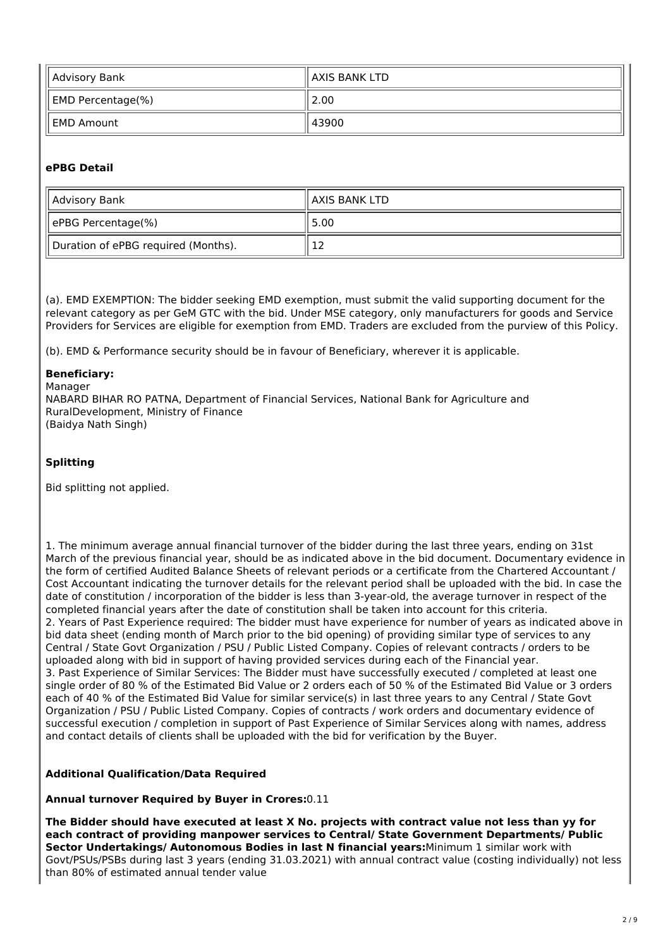| Advisory Bank                 | ll AXIS BANK LTD |
|-------------------------------|------------------|
| $\parallel$ EMD Percentage(%) | 2.00             |
| ll EMD Amount                 | 43900            |

#### **ePBG Detail**

| Advisory Bank                       | ll AXIS BANK LTD |
|-------------------------------------|------------------|
| ePBG Percentage(%)                  | 5.00             |
| Duration of ePBG required (Months). | ∸                |

(a). EMD EXEMPTION: The bidder seeking EMD exemption, must submit the valid supporting document for the relevant category as per GeM GTC with the bid. Under MSE category, only manufacturers for goods and Service Providers for Services are eligible for exemption from EMD. Traders are excluded from the purview of this Policy.

(b). EMD & Performance security should be in favour of Beneficiary, wherever it is applicable.

#### **Beneficiary:**

Manager NABARD BIHAR RO PATNA, Department of Financial Services, National Bank for Agriculture and RuralDevelopment, Ministry of Finance (Baidya Nath Singh)

#### **Splitting**

Bid splitting not applied.

1. The minimum average annual financial turnover of the bidder during the last three years, ending on 31st March of the previous financial year, should be as indicated above in the bid document. Documentary evidence in the form of certified Audited Balance Sheets of relevant periods or a certificate from the Chartered Accountant / Cost Accountant indicating the turnover details for the relevant period shall be uploaded with the bid. In case the date of constitution / incorporation of the bidder is less than 3-year-old, the average turnover in respect of the completed financial years after the date of constitution shall be taken into account for this criteria. 2. Years of Past Experience required: The bidder must have experience for number of years as indicated above in bid data sheet (ending month of March prior to the bid opening) of providing similar type of services to any Central / State Govt Organization / PSU / Public Listed Company. Copies of relevant contracts / orders to be uploaded along with bid in support of having provided services during each of the Financial year. 3. Past Experience of Similar Services: The Bidder must have successfully executed / completed at least one single order of 80 % of the Estimated Bid Value or 2 orders each of 50 % of the Estimated Bid Value or 3 orders each of 40 % of the Estimated Bid Value for similar service(s) in last three years to any Central / State Govt Organization / PSU / Public Listed Company. Copies of contracts / work orders and documentary evidence of successful execution / completion in support of Past Experience of Similar Services along with names, address and contact details of clients shall be uploaded with the bid for verification by the Buyer.

#### **Additional Qualification/Data Required**

**Annual turnover Required by Buyer in Crores:**0.11

**The Bidder should have executed at least X No. projects with contract value not less than yy for each contract of providing manpower services to Central/ State Government Departments/ Public Sector Undertakings/ Autonomous Bodies in last N financial years:**Minimum 1 similar work with Govt/PSUs/PSBs during last 3 years (ending 31.03.2021) with annual contract value (costing individually) not less than 80% of estimated annual tender value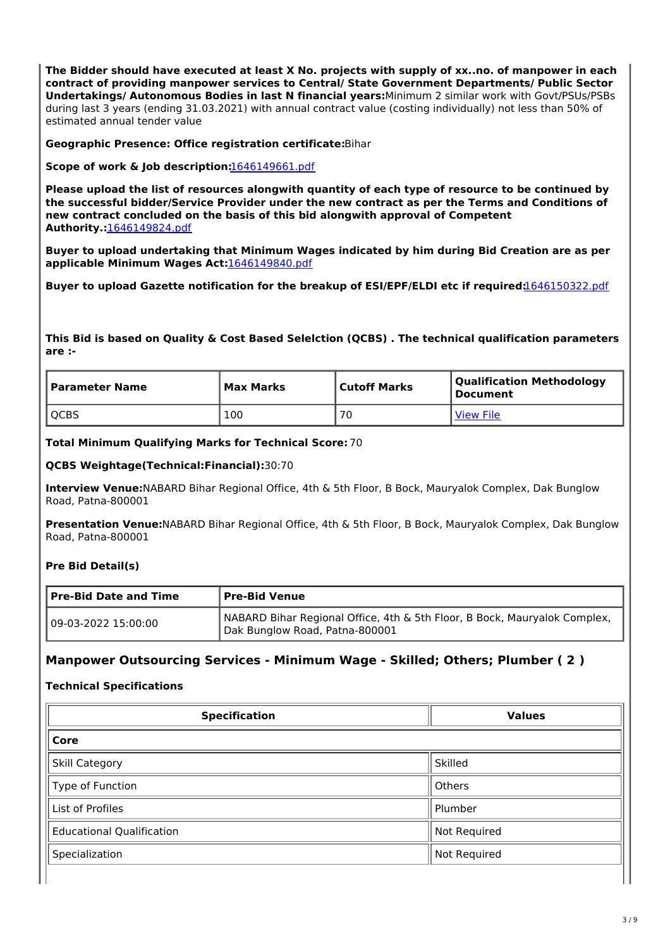**The Bidder should have executed at least X No. projects with supply of xx..no. of manpower in each contract of providing manpower services to Central/ State Government Departments/ Public Sector Undertakings/ Autonomous Bodies in last N financial years:**Minimum 2 similar work with Govt/PSUs/PSBs during last 3 years (ending 31.03.2021) with annual contract value (costing individually) not less than 50% of estimated annual tender value

**Geographic Presence: Office registration certificate:**Bihar

**Scope of work & Job description:**1646149661.pdf

**Please upload the list of resources alongwith quantity of each type of resource to be continued by the successful bidder/Service Provider under the new contract as per the Terms and Conditions of new contract concluded on the basis of this bid alongwith approval of Competent Authority.:**1646149824.pdf

**Buyer to upload undertaking that Minimum Wages indicated by him during Bid Creation are as per applicable Minimum Wages Act:**1646149840.pdf

**Buyer to upload Gazette notification for the breakup of ESI/EPF/ELDI etc if required:**1646150322.pdf

**This Bid is based on Quality & Cost Based Selelction (QCBS) . The technical qualification parameters are :-**

| Parameter Name | Max Marks | Cutoff Marks | <b>Qualification Methodology</b><br>  Document |
|----------------|-----------|--------------|------------------------------------------------|
| <b>OCBS</b>    | 100       | 70           | <b>View File</b>                               |

**Total Minimum Qualifying Marks for Technical Score:** 70

#### **QCBS Weightage(Technical:Financial):**30:70

**Interview Venue:**NABARD Bihar Regional Office, 4th & 5th Floor, B Bock, Mauryalok Complex, Dak Bunglow Road, Patna-800001

**Presentation Venue:**NABARD Bihar Regional Office, 4th & 5th Floor, B Bock, Mauryalok Complex, Dak Bunglow Road, Patna-800001

#### **Pre Bid Detail(s)**

| <b>Pre-Bid Date and Time</b><br><b>Pre-Bid Venue</b> |                                                                                                             |
|------------------------------------------------------|-------------------------------------------------------------------------------------------------------------|
| 09-03-2022 15:00:00                                  | NABARD Bihar Regional Office, 4th & 5th Floor, B Bock, Mauryalok Complex,<br>Dak Bunglow Road, Patna-800001 |

## **Manpower Outsourcing Services - Minimum Wage - Skilled; Others; Plumber ( 2 )**

#### **Technical Specifications**

| <b>Specification</b>             | <b>Values</b> |  |  |  |
|----------------------------------|---------------|--|--|--|
| Core                             |               |  |  |  |
| <b>Skill Category</b>            | Skilled       |  |  |  |
| Type of Function                 | Others        |  |  |  |
| List of Profiles                 | Plumber       |  |  |  |
| <b>Educational Qualification</b> | Not Required  |  |  |  |
| Specialization                   | Not Required  |  |  |  |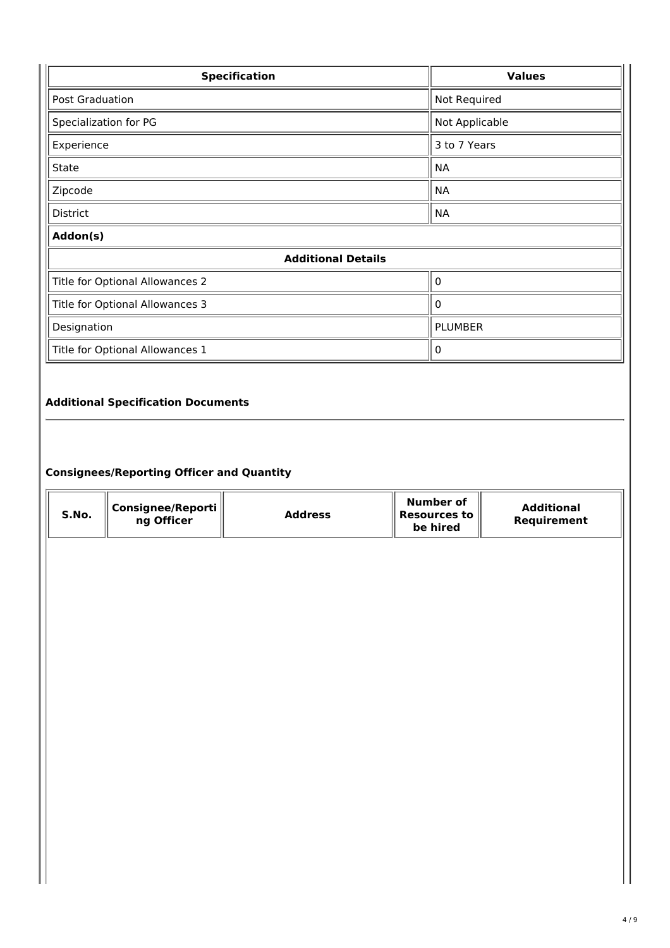| <b>Specification</b>                        | <b>Values</b>  |  |  |  |
|---------------------------------------------|----------------|--|--|--|
| <b>Post Graduation</b>                      | Not Required   |  |  |  |
| Specialization for PG                       | Not Applicable |  |  |  |
| Experience                                  | 3 to 7 Years   |  |  |  |
| <b>State</b>                                | <b>NA</b>      |  |  |  |
| Zipcode                                     | <b>NA</b>      |  |  |  |
| <b>District</b>                             | <b>NA</b>      |  |  |  |
| Addon(s)                                    |                |  |  |  |
| <b>Additional Details</b>                   |                |  |  |  |
| Title for Optional Allowances 2             | 0              |  |  |  |
| Title for Optional Allowances 3             | $\mathbf{0}$   |  |  |  |
| Designation                                 | <b>PLUMBER</b> |  |  |  |
| Title for Optional Allowances 1<br>$\Omega$ |                |  |  |  |
|                                             |                |  |  |  |

## **Additional Specification Documents**

## **Consignees/Reporting Officer and Quantity**

| S.No. | Consignee/Reporti<br>ng Officer | <b>Address</b> | <b>Number of</b><br><b>Resources to</b><br>be hired | <b>Additional</b><br>Requirement |
|-------|---------------------------------|----------------|-----------------------------------------------------|----------------------------------|
|       |                                 |                |                                                     |                                  |
|       |                                 |                |                                                     |                                  |
|       |                                 |                |                                                     |                                  |
|       |                                 |                |                                                     |                                  |
|       |                                 |                |                                                     |                                  |
|       |                                 |                |                                                     |                                  |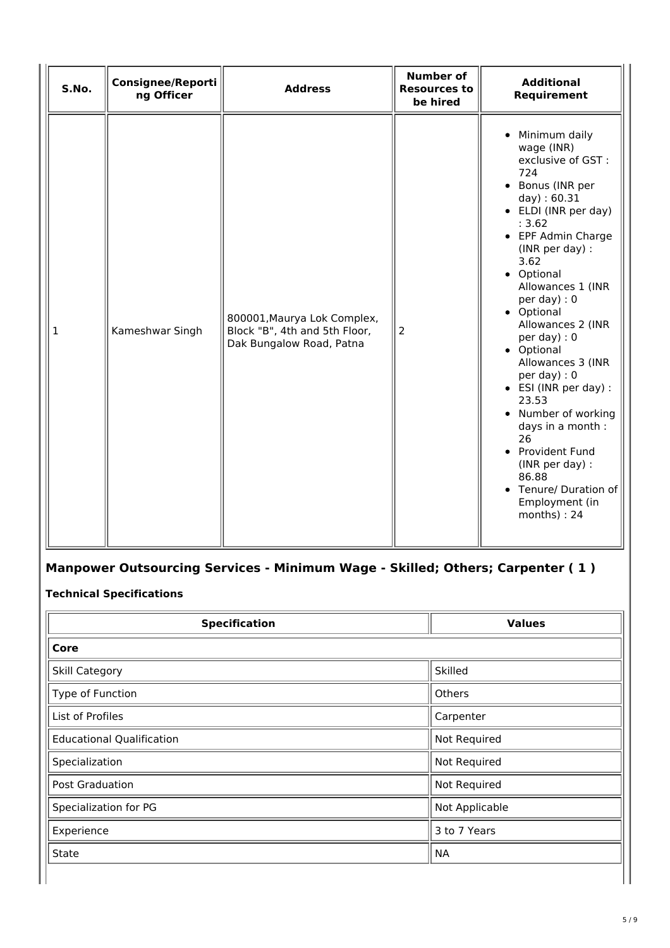| S.No.        | Consignee/Reporti<br>ng Officer | <b>Address</b>                                                                           | <b>Number of</b><br><b>Resources to</b><br>be hired | <b>Additional</b><br>Requirement                                                                                                                                                                                                                                                                                                                                                                                                                                                                                                                |
|--------------|---------------------------------|------------------------------------------------------------------------------------------|-----------------------------------------------------|-------------------------------------------------------------------------------------------------------------------------------------------------------------------------------------------------------------------------------------------------------------------------------------------------------------------------------------------------------------------------------------------------------------------------------------------------------------------------------------------------------------------------------------------------|
| $\mathbf{1}$ | Kameshwar Singh                 | 800001, Maurya Lok Complex,<br>Block "B", 4th and 5th Floor,<br>Dak Bungalow Road, Patna | 2                                                   | • Minimum daily<br>wage (INR)<br>exclusive of GST :<br>724<br>• Bonus (INR per<br>day) : 60.31<br>• ELDI (INR per day)<br>: 3.62<br>• EPF Admin Charge<br>(INR per day) :<br>3.62<br>• Optional<br>Allowances 1 (INR<br>per day) : $0$<br>• Optional<br>Allowances 2 (INR<br>per day) : $0$<br>• Optional<br>Allowances 3 (INR<br>per day): 0<br>• ESI (INR per day) :<br>23.53<br>• Number of working<br>days in a month :<br>26<br>• Provident Fund<br>(INR per day) :<br>86.88<br>• Tenure/ Duration of<br>Employment (in<br>$months$ ) : 24 |

## **Manpower Outsourcing Services - Minimum Wage - Skilled; Others; Carpenter ( 1 )**

## **Technical Specifications**

| <b>Specification</b>             | <b>Values</b>  |  |  |
|----------------------------------|----------------|--|--|
| Core                             |                |  |  |
| <b>Skill Category</b>            | Skilled        |  |  |
| Type of Function                 | Others         |  |  |
| List of Profiles                 | Carpenter      |  |  |
| <b>Educational Qualification</b> | Not Required   |  |  |
| Specialization                   | Not Required   |  |  |
| Post Graduation                  | Not Required   |  |  |
| Specialization for PG            | Not Applicable |  |  |
| Experience                       | 3 to 7 Years   |  |  |
| <b>State</b>                     | <b>NA</b>      |  |  |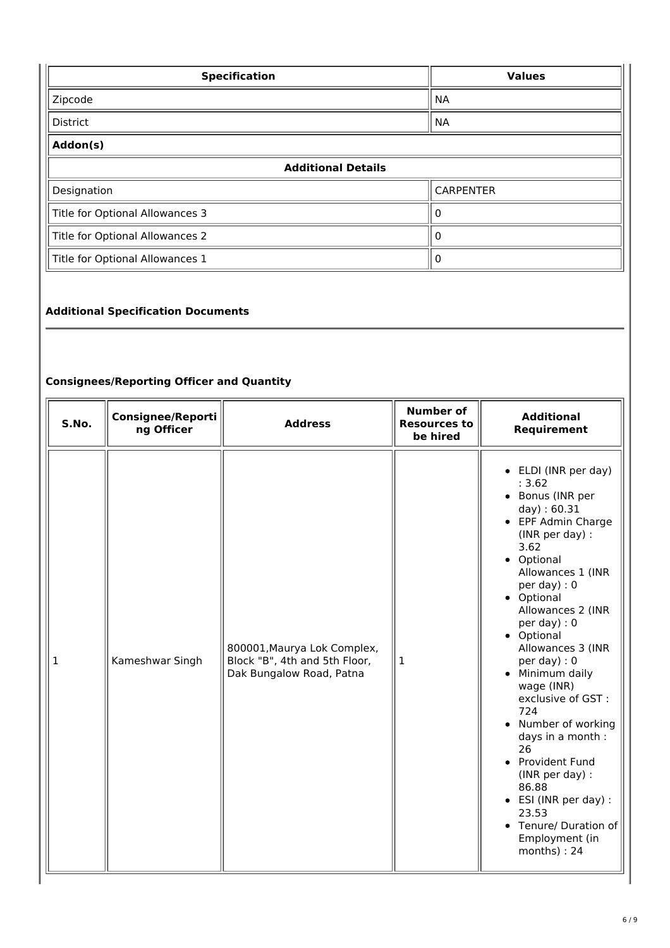| <b>Specification</b>                 | <b>Values</b>    |  |  |
|--------------------------------------|------------------|--|--|
| Zipcode                              | <b>NA</b>        |  |  |
| <b>District</b><br><b>NA</b>         |                  |  |  |
| Addon(s)                             |                  |  |  |
| <b>Additional Details</b>            |                  |  |  |
| Designation                          | <b>CARPENTER</b> |  |  |
| Title for Optional Allowances 3      |                  |  |  |
| Title for Optional Allowances 2      | 0                |  |  |
| Title for Optional Allowances 1<br>0 |                  |  |  |

## **Additional Specification Documents**

## **Consignees/Reporting Officer and Quantity**

| S.No. | <b>Consignee/Reporti</b><br>ng Officer | <b>Address</b>                                                                           | <b>Number of</b><br><b>Resources to</b><br>be hired | <b>Additional</b><br>Requirement                                                                                                                                                                                                                                                                                                                                                                                                                                                                                                                |
|-------|----------------------------------------|------------------------------------------------------------------------------------------|-----------------------------------------------------|-------------------------------------------------------------------------------------------------------------------------------------------------------------------------------------------------------------------------------------------------------------------------------------------------------------------------------------------------------------------------------------------------------------------------------------------------------------------------------------------------------------------------------------------------|
| 1     | Kameshwar Singh                        | 800001, Maurya Lok Complex,<br>Block "B", 4th and 5th Floor,<br>Dak Bungalow Road, Patna | 1                                                   | • ELDI (INR per day)<br>: 3.62<br>• Bonus (INR per<br>day) : 60.31<br>• EPF Admin Charge<br>(INR per day) :<br>3.62<br>• Optional<br>Allowances 1 (INR<br>per day) : $0$<br>• Optional<br>Allowances 2 (INR<br>per day) : $0$<br>• Optional<br>Allowances 3 (INR<br>per day) : $0$<br>• Minimum daily<br>wage (INR)<br>exclusive of GST :<br>724<br>• Number of working<br>days in a month :<br>26<br>• Provident Fund<br>(INR per day) :<br>86.88<br>• ESI (INR per day) :<br>23.53<br>• Tenure/ Duration of<br>Employment (in<br>months) : 24 |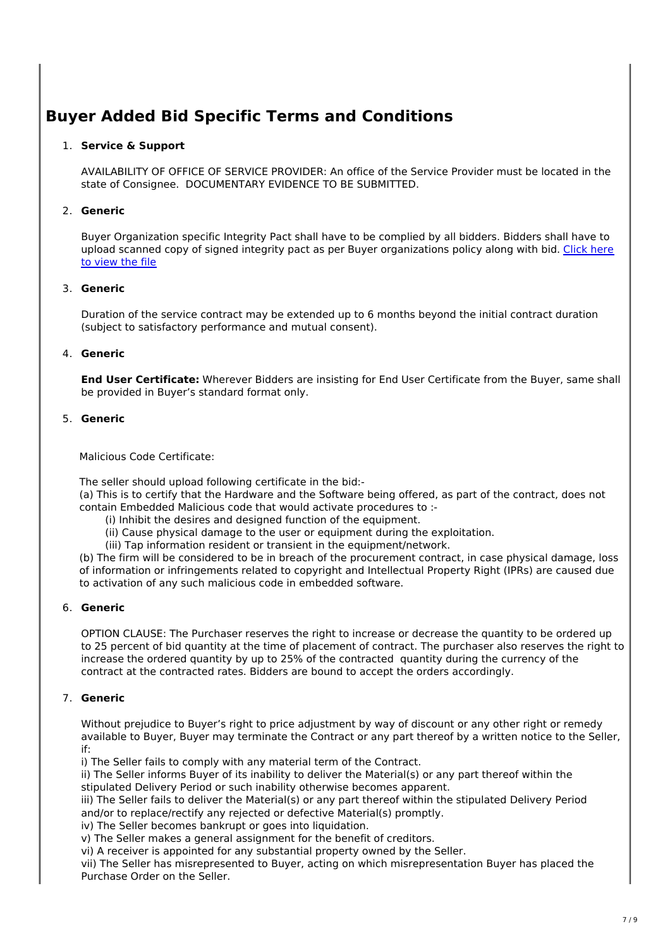# **Buyer Added Bid Specific Terms and Conditions**

#### 1. **Service & Support**

AVAILABILITY OF OFFICE OF SERVICE PROVIDER: An office of the Service Provider must be located in the state of Consignee. DOCUMENTARY EVIDENCE TO BE SUBMITTED.

## 2. **Generic**

Buyer Organization specific Integrity Pact shall have to be complied by all bidders. Bidders shall have to upload scanned copy of signed integrity pact as per Buyer organizations policy along with bid. Click here to view the file

## 3. **Generic**

Duration of the service contract may be extended up to 6 months beyond the initial contract duration (subject to satisfactory performance and mutual consent).

## 4. **Generic**

**End User Certificate:** Wherever Bidders are insisting for End User Certificate from the Buyer, same shall be provided in Buyer's standard format only.

## 5. **Generic**

#### Malicious Code Certificate:

The seller should upload following certificate in the bid:-

(a) This is to certify that the Hardware and the Software being offered, as part of the contract, does not contain Embedded Malicious code that would activate procedures to :-

- (i) Inhibit the desires and designed function of the equipment.
- (ii) Cause physical damage to the user or equipment during the exploitation.
- (iii) Tap information resident or transient in the equipment/network.

(b) The firm will be considered to be in breach of the procurement contract, in case physical damage, loss of information or infringements related to copyright and Intellectual Property Right (IPRs) are caused due to activation of any such malicious code in embedded software.

#### 6. **Generic**

OPTION CLAUSE: The Purchaser reserves the right to increase or decrease the quantity to be ordered up to 25 percent of bid quantity at the time of placement of contract. The purchaser also reserves the right to increase the ordered quantity by up to 25% of the contracted quantity during the currency of the contract at the contracted rates. Bidders are bound to accept the orders accordingly.

## 7. **Generic**

Without prejudice to Buyer's right to price adjustment by way of discount or any other right or remedy available to Buyer, Buyer may terminate the Contract or any part thereof by a written notice to the Seller, if:

i) The Seller fails to comply with any material term of the Contract.

ii) The Seller informs Buyer of its inability to deliver the Material(s) or any part thereof within the stipulated Delivery Period or such inability otherwise becomes apparent.

iii) The Seller fails to deliver the Material(s) or any part thereof within the stipulated Delivery Period and/or to replace/rectify any rejected or defective Material(s) promptly.

iv) The Seller becomes bankrupt or goes into liquidation.

v) The Seller makes a general assignment for the benefit of creditors.

vi) A receiver is appointed for any substantial property owned by the Seller.

vii) The Seller has misrepresented to Buyer, acting on which misrepresentation Buyer has placed the Purchase Order on the Seller.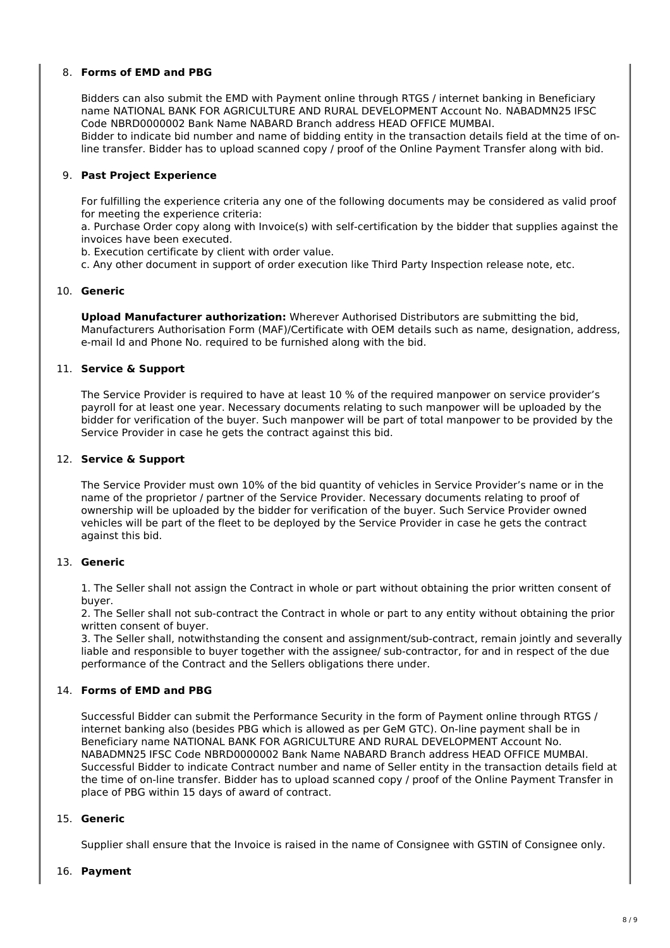#### 8. **Forms of EMD and PBG**

Bidders can also submit the EMD with Payment online through RTGS / internet banking in Beneficiary name NATIONAL BANK FOR AGRICULTURE AND RURAL DEVELOPMENT Account No. NABADMN25 IFSC Code NBRD0000002 Bank Name NABARD Branch address HEAD OFFICE MUMBAI.

Bidder to indicate bid number and name of bidding entity in the transaction details field at the time of online transfer. Bidder has to upload scanned copy / proof of the Online Payment Transfer along with bid.

#### 9. **Past Project Experience**

For fulfilling the experience criteria any one of the following documents may be considered as valid proof for meeting the experience criteria:

a. Purchase Order copy along with Invoice(s) with self-certification by the bidder that supplies against the invoices have been executed.

b. Execution certificate by client with order value.

c. Any other document in support of order execution like Third Party Inspection release note, etc.

#### 10. **Generic**

**Upload Manufacturer authorization:** Wherever Authorised Distributors are submitting the bid, Manufacturers Authorisation Form (MAF)/Certificate with OEM details such as name, designation, address, e-mail Id and Phone No. required to be furnished along with the bid.

#### 11. **Service & Support**

The Service Provider is required to have at least 10 % of the required manpower on service provider's payroll for at least one year. Necessary documents relating to such manpower will be uploaded by the bidder for verification of the buyer. Such manpower will be part of total manpower to be provided by the Service Provider in case he gets the contract against this bid.

#### 12. **Service & Support**

The Service Provider must own 10% of the bid quantity of vehicles in Service Provider's name or in the name of the proprietor / partner of the Service Provider. Necessary documents relating to proof of ownership will be uploaded by the bidder for verification of the buyer. Such Service Provider owned vehicles will be part of the fleet to be deployed by the Service Provider in case he gets the contract against this bid.

#### 13. **Generic**

1. The Seller shall not assign the Contract in whole or part without obtaining the prior written consent of buyer.

2. The Seller shall not sub-contract the Contract in whole or part to any entity without obtaining the prior written consent of buyer.

3. The Seller shall, notwithstanding the consent and assignment/sub-contract, remain jointly and severally liable and responsible to buyer together with the assignee/ sub-contractor, for and in respect of the due performance of the Contract and the Sellers obligations there under.

#### 14. **Forms of EMD and PBG**

Successful Bidder can submit the Performance Security in the form of Payment online through RTGS / internet banking also (besides PBG which is allowed as per GeM GTC). On-line payment shall be in Beneficiary name NATIONAL BANK FOR AGRICULTURE AND RURAL DEVELOPMENT Account No. NABADMN25 IFSC Code NBRD0000002 Bank Name NABARD Branch address HEAD OFFICE MUMBAI. Successful Bidder to indicate Contract number and name of Seller entity in the transaction details field at the time of on-line transfer. Bidder has to upload scanned copy / proof of the Online Payment Transfer in place of PBG within 15 days of award of contract.

#### 15. **Generic**

Supplier shall ensure that the Invoice is raised in the name of Consignee with GSTIN of Consignee only.

#### 16. **Payment**